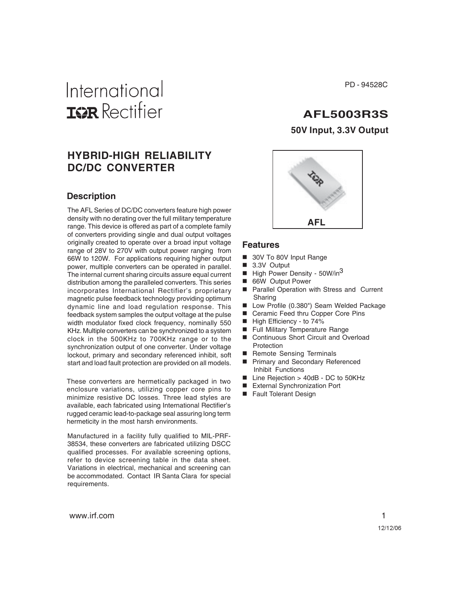# International **ISR** Rectifier

## **HYBRID-HIGH RELIABILITY DC/DC CONVERTER**

### **Description**

The AFL Series of DC/DC converters feature high power density with no derating over the full military temperature range. This device is offered as part of a complete family of converters providing single and dual output voltages originally created to operate over a broad input voltage range of 28V to 270V with output power ranging from 66W to 120W. For applications requiring higher output power, multiple converters can be operated in parallel. The internal current sharing circuits assure equal current distribution among the paralleled converters. This series incorporates International Rectifier's proprietary magnetic pulse feedback technology providing optimum dynamic line and load regulation response. This feedback system samples the output voltage at the pulse width modulator fixed clock frequency, nominally 550 KHz. Multiple converters can be synchronized to a system clock in the 500KHz to 700KHz range or to the synchronization output of one converter. Under voltage lockout, primary and secondary referenced inhibit, soft start and load fault protection are provided on all models.

These converters are hermetically packaged in two enclosure variations, utilizing copper core pins to minimize resistive DC losses. Three lead styles are available, each fabricated using International Rectifier's rugged ceramic lead-to-package seal assuring long term hermeticity in the most harsh environments.

Manufactured in a facility fully qualified to MIL-PRF-38534, these converters are fabricated utilizing DSCC qualified processes. For available screening options, refer to device screening table in the data sheet. Variations in electrical, mechanical and screening can be accommodated. Contact IR Santa Clara for special requirements.

PD - 94528C

## **AFL5003R3S**

**50V Input, 3.3V Output**



#### **Features**

- 30V To 80V Input Range
- 3.3V Output
- $\blacksquare$  High Power Density 50W/in<sup>3</sup>
- 66W Output Power
- **Parallel Operation with Stress and Current** Sharing
- Low Profile (0.380") Seam Welded Package
- Ceramic Feed thru Copper Core Pins
- High Efficiency to 74%
- Full Military Temperature Range
- Continuous Short Circuit and Overload **Protection**
- Remote Sensing Terminals
- **Primary and Secondary Referenced** Inhibit Functions
- Line Rejection > 40dB DC to 50KHz
- External Synchronization Port
- Fault Tolerant Design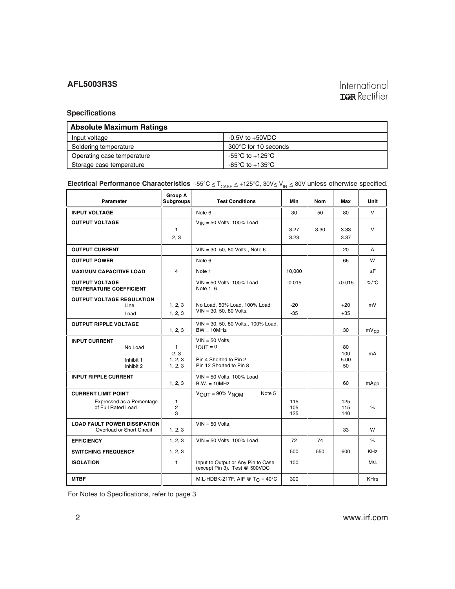## International **IGR** Rectifier

#### **Specifications**

| <b>Absolute Maximum Ratings</b> |                                     |  |  |  |
|---------------------------------|-------------------------------------|--|--|--|
| Input voltage                   | $-0.5V$ to $+50VDC$                 |  |  |  |
| Soldering temperature           | 300°C for 10 seconds                |  |  |  |
| Operating case temperature      | $-55^{\circ}$ C to $+125^{\circ}$ C |  |  |  |
| Storage case temperature        | -65°C to +135°C                     |  |  |  |

## **Electrical Performance Characteristics**  $-55^{\circ}C \le T_{\text{CASE}} \le +125^{\circ}C$ ,  $30V \le V_{\text{IN}} \le 80V$  unless otherwise specified.

| Parameter                                                                     | <b>Group A</b><br><b>Subgroups</b>        | <b>Test Conditions</b>                                                               | Min               | <b>Nom</b> | Max                     | <b>Unit</b>  |
|-------------------------------------------------------------------------------|-------------------------------------------|--------------------------------------------------------------------------------------|-------------------|------------|-------------------------|--------------|
| <b>INPUT VOLTAGE</b>                                                          |                                           | Note 6                                                                               | 30                | 50         | 80                      | $\vee$       |
| <b>OUTPUT VOLTAGE</b>                                                         | $\mathbf{1}$<br>2, 3                      | $V_{IN}$ = 50 Volts, 100% Load                                                       | 3.27<br>3.23      | 3.30       | 3.33<br>3.37            | $\mathsf{V}$ |
| <b>OUTPUT CURRENT</b>                                                         |                                           | $VIN = 30, 50, 80$ Volts., Note 6                                                    |                   |            | 20                      | A            |
| <b>OUTPUT POWER</b>                                                           |                                           | Note 6                                                                               |                   |            | 66                      | w            |
| <b>MAXIMUM CAPACITIVE LOAD</b>                                                | 4                                         | Note 1                                                                               | 10,000            |            |                         | μF           |
| <b>OUTPUT VOLTAGE</b><br><b>TEMPERATURE COEFFICIENT</b>                       |                                           | $VIN = 50$ Volts, 100% Load<br>Note 1, 6                                             | $-0.015$          |            | $+0.015$                | $\%$ /°C     |
| <b>OUTPUT VOLTAGE REGULATION</b><br>Line<br>Load                              | 1, 2, 3<br>1, 2, 3                        | No Load, 50% Load, 100% Load<br>$VIN = 30, 50, 80$ Volts,                            | $-20$<br>$-35$    |            | $+20$<br>$+35$          | mV           |
| <b>OUTPUT RIPPLE VOLTAGE</b>                                                  | 1, 2, 3                                   | VIN = 30, 50, 80 Volts., 100% Load,<br>$BW = 10MHz$                                  |                   |            | 30                      | mVpp         |
| <b>INPUT CURRENT</b><br>No Load<br>Inhibit 1<br>Inhibit 2                     | $\mathbf{1}$<br>2.3<br>1, 2, 3<br>1, 2, 3 | $VIN = 50$ Volts,<br>$IOUT = 0$<br>Pin 4 Shorted to Pin 2<br>Pin 12 Shorted to Pin 8 |                   |            | 80<br>100<br>5.00<br>50 | mA           |
| <b>INPUT RIPPLE CURRENT</b>                                                   | 1, 2, 3                                   | $VIN = 50$ Volts, 100% Load<br>$B.W. = 10MHz$                                        |                   |            | 60                      | mApp         |
| <b>CURRENT LIMIT POINT</b><br>Expressed as a Percentage<br>of Full Rated Load | $\mathbf{1}$<br>$\overline{c}$<br>3       | $V_{\text{OUT}} = 90\% V_{\text{NOM}}$<br>Note 5                                     | 115<br>105<br>125 |            | 125<br>115<br>140       | $\%$         |
| <b>LOAD FAULT POWER DISSIPATION</b><br>Overload or Short Circuit              | 1, 2, 3                                   | $VIN = 50$ Volts.                                                                    |                   |            | 33                      | w            |
| <b>EFFICIENCY</b>                                                             | 1, 2, 3                                   | $VIN = 50$ Volts, 100% Load                                                          | 72                | 74         |                         | $\%$         |
| <b>SWITCHING FREQUENCY</b>                                                    | 1, 2, 3                                   |                                                                                      | 500               | 550        | 600                     | <b>KHz</b>   |
| <b>ISOLATION</b>                                                              | $\mathbf{1}$                              | Input to Output or Any Pin to Case<br>(except Pin 3). Test @ 500VDC                  | 100               |            |                         | MΩ           |
| <b>MTBF</b>                                                                   |                                           | MIL-HDBK-217F, AIF @ T <sub>C</sub> = 40°C                                           | 300               |            |                         | <b>KHrs</b>  |

For Notes to Specifications, refer to page 3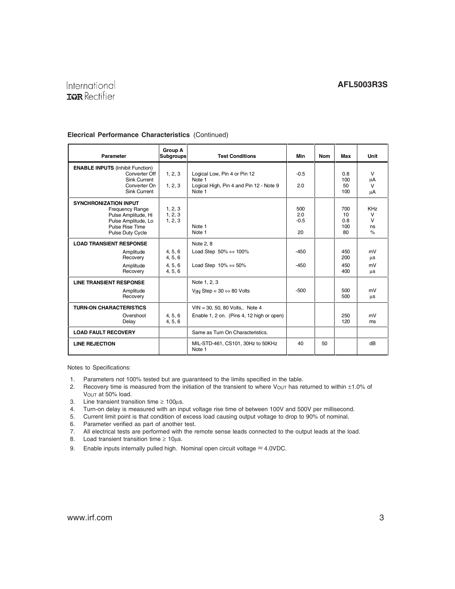## International **IGR** Rectifier

#### **Elecrical Performance Characteristics** (Continued)

| Parameter                                                                                                                                          | <b>Group A</b><br><b>Subgroups</b>       | <b>Test Conditions</b>                                                                       | Min                        | <b>Nom</b> | Max                           | Unit                                         |
|----------------------------------------------------------------------------------------------------------------------------------------------------|------------------------------------------|----------------------------------------------------------------------------------------------|----------------------------|------------|-------------------------------|----------------------------------------------|
| <b>ENABLE INPUTS (Inhibit Function)</b><br>Converter Off<br>Sink Current<br>Converter On<br><b>Sink Current</b>                                    | 1, 2, 3<br>1, 2, 3                       | Logical Low, Pin 4 or Pin 12<br>Note 1<br>Logical High, Pin 4 and Pin 12 - Note 9<br>Note 1  | $-0.5$<br>2.0              |            | 0.8<br>100<br>50<br>100       | $\vee$<br>μA<br>$\vee$<br>μA                 |
| <b>SYNCHRONIZATION INPUT</b><br><b>Frequency Range</b><br>Pulse Amplitude, Hi<br>Pulse Amplitude, Lo<br>Pulse Rise Time<br><b>Pulse Duty Cycle</b> | 1, 2, 3<br>1, 2, 3<br>1, 2, 3            | Note 1<br>Note 1                                                                             | 500<br>2.0<br>$-0.5$<br>20 |            | 700<br>10<br>0.8<br>100<br>80 | <b>KHz</b><br>$\vee$<br>$\vee$<br>ns<br>$\%$ |
| <b>LOAD TRANSIENT RESPONSE</b><br>Amplitude<br>Recovery<br>Amplitude<br>Recovery                                                                   | 4, 5, 6<br>4, 5, 6<br>4, 5, 6<br>4, 5, 6 | Note 2, 8<br>Load Step $50\% \Leftrightarrow 100\%$<br>Load Step $10\% \Leftrightarrow 50\%$ | $-450$<br>$-450$           |            | 450<br>200<br>450<br>400      | mV<br>μs<br>mV<br>μs                         |
| <b>LINE TRANSIENT RESPONSE</b><br>Amplitude<br>Recovery                                                                                            |                                          | Note 1, 2, 3<br>V <sub>IN</sub> Step = $30 \Leftrightarrow 80$ Volts                         | $-500$                     |            | 500<br>500                    | mV<br>μs                                     |
| <b>TURN-ON CHARACTERISTICS</b><br>Overshoot<br>Delay                                                                                               | 4, 5, 6<br>4, 5, 6                       | $VIN = 30, 50, 80$ Volts,. Note 4<br>Enable 1, 2 on. (Pins 4, 12 high or open)               |                            |            | 250<br>120                    | mV<br>ms                                     |
| <b>LOAD FAULT RECOVERY</b>                                                                                                                         |                                          | Same as Turn On Characteristics.                                                             |                            |            |                               |                                              |
| <b>LINE REJECTION</b>                                                                                                                              |                                          | MIL-STD-461, CS101, 30Hz to 50KHz<br>Note 1                                                  | 40                         | 50         |                               | dB                                           |

Notes to Specifications:

- 1. Parameters not 100% tested but are guaranteed to the limits specified in the table.
- 2. Recovery time is measured from the initiation of the transient to where Vou<sub>T</sub> has returned to within  $\pm 1.0\%$  of V<sub>OUT</sub> at 50% load.
- 3. Line transient transition time  $\geq 100 \mu s$ .
- 4. Turn-on delay is measured with an input voltage rise time of between 100V and 500V per millisecond.
- 5. Current limit point is that condition of excess load causing output voltage to drop to 90% of nominal.
- 6. Parameter verified as part of another test.
- 7. All electrical tests are performed with the remote sense leads connected to the output leads at the load.
- 8. Load transient transition time  $\geq 10 \mu s$ .
- 9. Enable inputs internally pulled high. Nominal open circuit voltage  $\approx$  4.0VDC.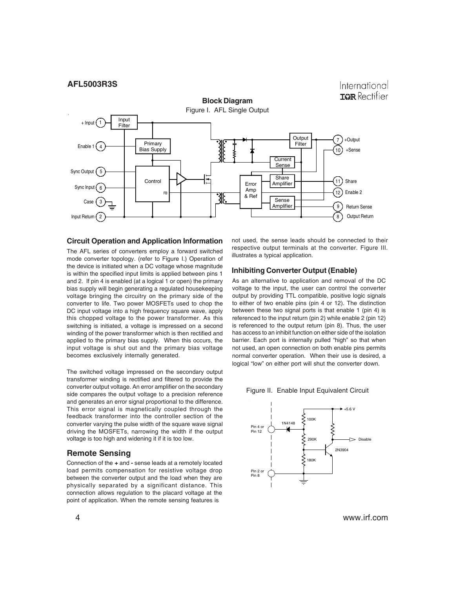

#### **Circuit Operation and Application Information**

The AFL series of converters employ a forward switched mode converter topology. (refer to Figure I.) Operation of the device is initiated when a DC voltage whose magnitude is within the specified input limits is applied between pins 1 and 2. If pin 4 is enabled (at a logical 1 or open) the primary bias supply will begin generating a regulated housekeeping voltage bringing the circuitry on the primary side of the converter to life. Two power MOSFETs used to chop the DC input voltage into a high frequency square wave, apply this chopped voltage to the power transformer. As this switching is initiated, a voltage is impressed on a second winding of the power transformer which is then rectified and applied to the primary bias supply. When this occurs, the input voltage is shut out and the primary bias voltage becomes exclusively internally generated.

The switched voltage impressed on the secondary output transformer winding is rectified and filtered to provide the converter output voltage. An error amplifier on the secondary side compares the output voltage to a precision reference and generates an error signal proportional to the difference. This error signal is magnetically coupled through the feedback transformer into the controller section of the converter varying the pulse width of the square wave signal driving the MOSFETs, narrowing the width if the output voltage is too high and widening it if it is too low.

#### **Remote Sensing**

Connection of the **+** and **-** sense leads at a remotely located load permits compensation for resistive voltage drop between the converter output and the load when they are physically separated by a significant distance. This connection allows regulation to the placard voltage at the point of application. When the remote sensing features is

not used, the sense leads should be connected to their respective output terminals at the converter. Figure III. illustrates a typical application.

#### **Inhibiting Converter Output (Enable)**

As an alternative to application and removal of the DC voltage to the input, the user can control the converter output by providing TTL compatible, positive logic signals to either of two enable pins (pin 4 or 12). The distinction between these two signal ports is that enable 1 (pin 4) is referenced to the input return (pin 2) while enable 2 (pin 12) is referenced to the output return (pin 8). Thus, the user has access to an inhibit function on either side of the isolation barrier. Each port is internally pulled "high" so that when not used, an open connection on both enable pins permits normal converter operation. When their use is desired, a logical "low" on either port will shut the converter down.

Figure II. Enable Input Equivalent Circuit



4 www.irf.com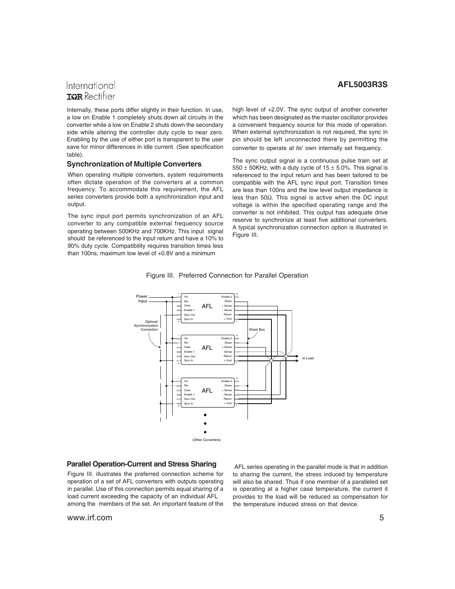## International **TOR** Rectifier

Internally, these ports differ slightly in their function. In use, a low on Enable 1 completely shuts down all circuits in the converter while a low on Enable 2 shuts down the secondary side while altering the controller duty cycle to near zero. Enabling by the use of either port is transparent to the user save for minor differences in idle current. (See specification table).

#### **Synchronization of Multiple Converters**

When operating multiple converters, system requirements often dictate operation of the converters at a common frequency. To accommodate this requirement, the AFL series converters provide both a synchronization input and output.

The sync input port permits synchronization of an AFL converter to any compatible external frequency source operating between 500KHz and 700KHz. This input signal should be referenced to the input return and have a 10% to 90% duty cycle. Compatibility requires transition times less than 100ns, maximum low level of +0.8V and a minimum

**AFL5003R3S**

high level of +2.0V. The sync output of another converter which has been designated as the master oscillator provides a convenient frequency source for this mode of operation. When external synchronization is not required, the sync in pin should be left unconnected there by permitting the converter to operate at its' own internally set frequency.

The sync output signal is a continuous pulse train set at 550  $\pm$  50KHz, with a duty cycle of 15  $\pm$  5.0%. This signal is referenced to the input return and has been tailored to be compatible with the AFL sync input port. Transition times are less than 100ns and the low level output impedance is less than 50Ω. This signal is active when the DC input voltage is within the specified operating range and the converter is not inhibited. This output has adequate drive reserve to synchronize at least five additional converters. A typical synchronization connection option is illustrated in Figure III.





#### **Parallel Operation-Current and Stress Sharing**

Figure III. illustrates the preferred connection scheme for operation of a set of AFL converters with outputs operating in parallel. Use of this connection permits equal sharing of a load current exceeding the capacity of an individual AFL among the members of the set. An important feature of the

www.irf.com 5

 AFL series operating in the parallel mode is that in addition to sharing the current, the stress induced by temperature will also be shared. Thus if one member of a paralleled set is operating at a higher case temperature, the current it provides to the load will be reduced as compensation for the temperature induced stress on that device.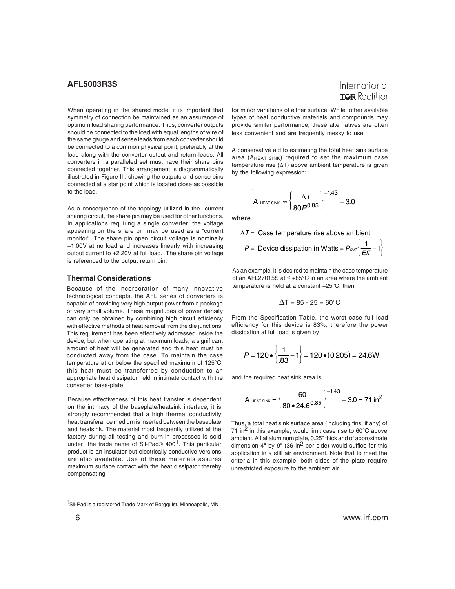When operating in the shared mode, it is important that symmetry of connection be maintained as an assurance of optimum load sharing performance. Thus, converter outputs should be connected to the load with equal lengths of wire of the same gauge and sense leads from each converter should be connected to a common physical point, preferably at the load along with the converter output and return leads. All converters in a paralleled set must have their share pins connected together. This arrangement is diagrammatically illustrated in Figure III. showing the outputs and sense pins connected at a star point which is located close as possible to the load.

As a consequence of the topology utilized in the current sharing circuit, the share pin may be used for other functions. In applications requiring a single converter, the voltage appearing on the share pin may be used as a "current monitor". The share pin open circuit voltage is nominally +1.00V at no load and increases linearly with increasing output current to +2.20V at full load. The share pin voltage is referenced to the output return pin.

#### **Thermal Considerations**

Because of the incorporation of many innovative technological concepts, the AFL series of converters is capable of providing very high output power from a package of very small volume. These magnitudes of power density can only be obtained by combining high circuit efficiency with effective methods of heat removal from the die junctions. This requirement has been effectively addressed inside the device; but when operating at maximum loads, a significant amount of heat will be generated and this heat must be conducted away from the case. To maintain the case temperature at or below the specified maximum of 125°C, this heat must be transferred by conduction to an appropriate heat dissipator held in intimate contact with the converter base-plate.

Because effectiveness of this heat transfer is dependent on the intimacy of the baseplate/heatsink interface, it is strongly recommended that a high thermal conductivity heat transferance medium is inserted between the baseplate and heatsink. The material most frequently utilized at the factory during all testing and burn-in processes is sold under the trade name of Sil-Pad® 400<sup>1</sup>. This particular product is an insulator but electrically conductive versions are also available. Use of these materials assures maximum surface contact with the heat dissipator thereby compensating

<sup>1</sup>Sil-Pad is a registered Trade Mark of Bergquist, Minneapolis, MN

for minor variations of either surface. While other available types of heat conductive materials and compounds may provide similar performance, these alternatives are often less convenient and are frequently messy to use.

A conservative aid to estimating the total heat sink surface area (AHEAT SINK) required to set the maximum case temperature rise (∆T) above ambient temperature is given by the following expression:

$$
A_{\text{ HEAT SINK}} \approx \left\{\frac{\Delta T}{80P^{0.85}}\right\}^{-1.43} - 3.0
$$

where

$$
\Delta T = \text{Case temperature rise above ambient}
$$
  

$$
P = \text{ Device dissipation in Watts} = P_{\text{our}} \left( \frac{1}{Eff} - 1 \right)
$$

As an example, it is desired to maintain the case temperature of an AFL27015S at ≤ +85°C in an area where the ambient temperature is held at a constant +25°C; then

$$
\Delta T = 85 - 25 = 60^{\circ}C
$$

From the Specification Table, the worst case full load efficiency for this device is 83%; therefore the power dissipation at full load is given by

$$
P = 120 \cdot \left\{ \frac{1}{.83} - 1 \right\} = 120 \cdot (0.205) = 24.6 \text{W}
$$

and the required heat sink area is

$$
A_{\text{ HEAT SINK}} = \left\{ \frac{60}{80 \cdot 24.6^{0.85}} \right\}^{-1.43} - 3.0 = 71 \text{ in}^2
$$

Thus, a total heat sink surface area (including fins, if any) of 71 in<sup>2</sup> in this example, would limit case rise to  $60^{\circ}$ C above ambient. A flat aluminum plate, 0.25" thick and of approximate dimension  $4"$  by  $9"$  (36 in<sup>2</sup> per side) would suffice for this application in a still air environment. Note that to meet the criteria in this example, both sides of the plate require unrestricted exposure to the ambient air.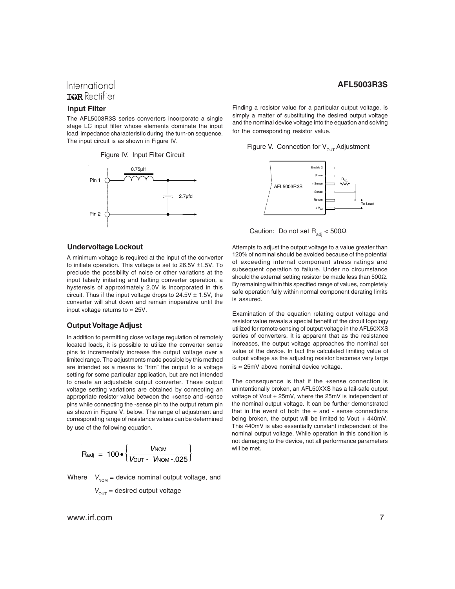## International **IGR** Rectifier

#### **Input Filter**

The AFL5003R3S series converters incorporate a single stage LC input filter whose elements dominate the input load impedance characteristic during the turn-on sequence. The input circuit is as shown in Figure IV.

Figure IV. Input Filter Circuit



#### **Undervoltage Lockout**

A minimum voltage is required at the input of the converter to initiate operation. This voltage is set to  $26.5V$   $\pm$ 1.5V. To preclude the possibility of noise or other variations at the input falsely initiating and halting converter operation, a hysteresis of approximately 2.0V is incorporated in this circuit. Thus if the input voltage drops to  $24.5V \pm 1.5V$ , the converter will shut down and remain inoperative until the input voltage returns to  $\approx$  25V.

#### **Output Voltage Adjust**

In addition to permitting close voltage regulation of remotely located loads, it is possible to utilize the converter sense pins to incrementally increase the output voltage over a limited range. The adjustments made possible by this method are intended as a means to "trim" the output to a voltage setting for some particular application, but are not intended to create an adjustable output converter. These output voltage setting variations are obtained by connecting an appropriate resistor value between the +sense and -sense pins while connecting the -sense pin to the output return pin as shown in Figure V. below. The range of adjustment and corresponding range of resistance values can be determined by use of the following equation.

$$
R_{adj} = 100 \cdot \left\{ \frac{V_{NOM}}{V_{OUT} - V_{NOM} - 025} \right\}
$$

Where  $V_{\text{NOM}}$  = device nominal output voltage, and

$$
V_{\text{OUT}} = \text{desired output voltage}
$$

www.irf.com 7

Finding a resistor value for a particular output voltage, is simply a matter of substituting the desired output voltage and the nominal device voltage into the equation and solving for the corresponding resistor value.

Figure V. Connection for  $V_{\text{out}}$  Adjustment



Caution: Do not set  $R_{\text{adj}} < 500\Omega$ 

Attempts to adjust the output voltage to a value greater than 120% of nominal should be avoided because of the potential of exceeding internal component stress ratings and subsequent operation to failure. Under no circumstance should the external setting resistor be made less than 500Ω. By remaining within this specified range of values, completely safe operation fully within normal component derating limits is assured.

Examination of the equation relating output voltage and resistor value reveals a special benefit of the circuit topology utilized for remote sensing of output voltage in the AFL50XXS series of converters. It is apparent that as the resistance increases, the output voltage approaches the nominal set value of the device. In fact the calculated limiting value of output voltage as the adjusting resistor becomes very large is ≈ 25mV above nominal device voltage.

The consequence is that if the +sense connection is unintentionally broken, an AFL50XXS has a fail-safe output voltage of Vout + 25mV, where the 25mV is independent of the nominal output voltage. It can be further demonstrated that in the event of both the  $+$  and  $-$  sense connections being broken, the output will be limited to Vout + 440mV. This 440mV is also essentially constant independent of the nominal output voltage. While operation in this condition is not damaging to the device, not all performance parameters will be met.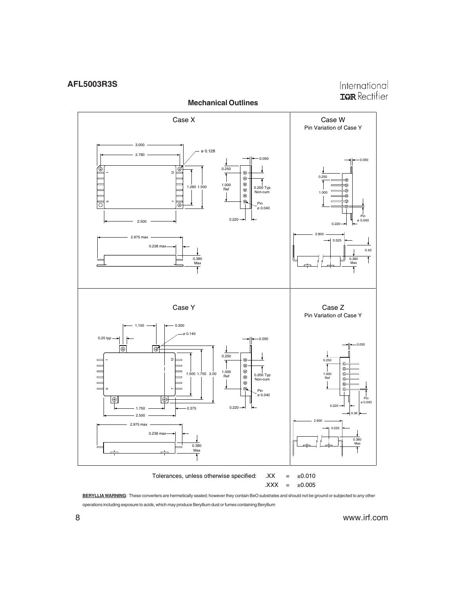



**BERYLLIA WARNING**: These converters are hermetically sealed; however they contain BeO substrates and should not be ground or subjected to any other operations including exposure to acids, which may produce Beryllium dust or fumes containing Beryllium

8 www.irf.com